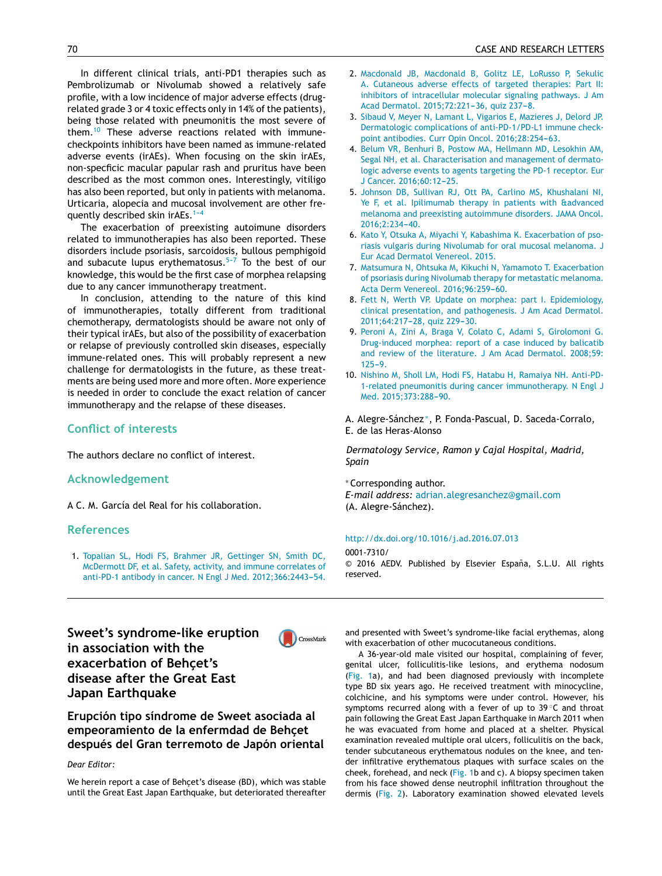In different clinical trials, anti-PD1 therapies such as Pembrolizumab or Nivolumab showed a relatively safe profile, with a low incidence of major adverse effects (drugrelated grade 3 or 4 toxic effects only in 14% of the patients), being those related with pneumonitis the most severe of them.<sup>10</sup> These adverse reactions related with immunecheckpoints inhibitors have been named as immune-related adverse events (irAEs). When focusing on the skin irAEs, non-specficic macular papular rash and pruritus have been described as the most common ones. Interestingly, vitiligo has also been reported, but only in patients with melanoma. Urticaria, alopecia and mucosal involvement are other frequently described skin irAEs. $1-4$ 

The exacerbation of preexisting autoimune [disorde](http://crossmark.crossref.org/dialog/?doi=10.1016/j.ad.2016.07.006&domain=pdf)rs related to immunotherapies has also been reported. These disorders include psoriasis, sarcoidosis, bullous pemphigoid and subacute lupus erythematosus. $5-7$  To the best of our knowledge, this would be the first case of morphea relapsing due to any cancer immunotherapy treatment.

In conclusion, attending to the nature of this kind of immunotherapies, totally different from traditional chemotherapy, dermatologists should be aware not only of their typical irAEs, but also of the possibility of exacerbation or relapse of previously controlled skin diseases, especially immune-related ones. This will probably represent a new challenge for dermatologists in the future, as these treatments are being used more and more often. More experience is needed in order to conclude the exact relation of cancer immunotherapy and the relapse of these diseases.

## **Conflict of interests**

The authors declare no conflict of interest.

#### **Acknowledgement**

A C. M. García del Real for his collaboration.

#### **References**

1. [Topalian](http://refhub.elsevier.com/S0001-7310(16)30279-4/sbref0055) [SL,](http://refhub.elsevier.com/S0001-7310(16)30279-4/sbref0055) [Hodi](http://refhub.elsevier.com/S0001-7310(16)30279-4/sbref0055) [FS,](http://refhub.elsevier.com/S0001-7310(16)30279-4/sbref0055) [Brahmer](http://refhub.elsevier.com/S0001-7310(16)30279-4/sbref0055) [JR,](http://refhub.elsevier.com/S0001-7310(16)30279-4/sbref0055) [Gettinger](http://refhub.elsevier.com/S0001-7310(16)30279-4/sbref0055) [SN,](http://refhub.elsevier.com/S0001-7310(16)30279-4/sbref0055) [Smith](http://refhub.elsevier.com/S0001-7310(16)30279-4/sbref0055) [DC,](http://refhub.elsevier.com/S0001-7310(16)30279-4/sbref0055) [McDermott](http://refhub.elsevier.com/S0001-7310(16)30279-4/sbref0055) [DF,](http://refhub.elsevier.com/S0001-7310(16)30279-4/sbref0055) [et](http://refhub.elsevier.com/S0001-7310(16)30279-4/sbref0055) [al.](http://refhub.elsevier.com/S0001-7310(16)30279-4/sbref0055) [Safety,](http://refhub.elsevier.com/S0001-7310(16)30279-4/sbref0055) [activity,](http://refhub.elsevier.com/S0001-7310(16)30279-4/sbref0055) [and](http://refhub.elsevier.com/S0001-7310(16)30279-4/sbref0055) [immune](http://refhub.elsevier.com/S0001-7310(16)30279-4/sbref0055) [correlates](http://refhub.elsevier.com/S0001-7310(16)30279-4/sbref0055) [of](http://refhub.elsevier.com/S0001-7310(16)30279-4/sbref0055) [anti-PD-1](http://refhub.elsevier.com/S0001-7310(16)30279-4/sbref0055) [antibody](http://refhub.elsevier.com/S0001-7310(16)30279-4/sbref0055) [in](http://refhub.elsevier.com/S0001-7310(16)30279-4/sbref0055) [cancer.](http://refhub.elsevier.com/S0001-7310(16)30279-4/sbref0055) [N](http://refhub.elsevier.com/S0001-7310(16)30279-4/sbref0055) [Engl](http://refhub.elsevier.com/S0001-7310(16)30279-4/sbref0055) [J](http://refhub.elsevier.com/S0001-7310(16)30279-4/sbref0055) [Med.](http://refhub.elsevier.com/S0001-7310(16)30279-4/sbref0055) 2012;366:2443-54.

- 2. [Macdonald](http://refhub.elsevier.com/S0001-7310(16)30279-4/sbref0060) [JB,](http://refhub.elsevier.com/S0001-7310(16)30279-4/sbref0060) [Macdonald](http://refhub.elsevier.com/S0001-7310(16)30279-4/sbref0060) [B,](http://refhub.elsevier.com/S0001-7310(16)30279-4/sbref0060) [Golitz](http://refhub.elsevier.com/S0001-7310(16)30279-4/sbref0060) [LE,](http://refhub.elsevier.com/S0001-7310(16)30279-4/sbref0060) [LoRusso](http://refhub.elsevier.com/S0001-7310(16)30279-4/sbref0060) [P,](http://refhub.elsevier.com/S0001-7310(16)30279-4/sbref0060) [Sekulic](http://refhub.elsevier.com/S0001-7310(16)30279-4/sbref0060) [A.](http://refhub.elsevier.com/S0001-7310(16)30279-4/sbref0060) [Cutaneous](http://refhub.elsevier.com/S0001-7310(16)30279-4/sbref0060) [adverse](http://refhub.elsevier.com/S0001-7310(16)30279-4/sbref0060) [effects](http://refhub.elsevier.com/S0001-7310(16)30279-4/sbref0060) [of](http://refhub.elsevier.com/S0001-7310(16)30279-4/sbref0060) [targeted](http://refhub.elsevier.com/S0001-7310(16)30279-4/sbref0060) [therapies:](http://refhub.elsevier.com/S0001-7310(16)30279-4/sbref0060) [Part](http://refhub.elsevier.com/S0001-7310(16)30279-4/sbref0060) [II:](http://refhub.elsevier.com/S0001-7310(16)30279-4/sbref0060) [inhibitors](http://refhub.elsevier.com/S0001-7310(16)30279-4/sbref0060) [of](http://refhub.elsevier.com/S0001-7310(16)30279-4/sbref0060) [intracellular](http://refhub.elsevier.com/S0001-7310(16)30279-4/sbref0060) [molecular](http://refhub.elsevier.com/S0001-7310(16)30279-4/sbref0060) [signaling](http://refhub.elsevier.com/S0001-7310(16)30279-4/sbref0060) [pathways.](http://refhub.elsevier.com/S0001-7310(16)30279-4/sbref0060) [J](http://refhub.elsevier.com/S0001-7310(16)30279-4/sbref0060) [Am](http://refhub.elsevier.com/S0001-7310(16)30279-4/sbref0060) [Acad](http://refhub.elsevier.com/S0001-7310(16)30279-4/sbref0060) [Dermatol.](http://refhub.elsevier.com/S0001-7310(16)30279-4/sbref0060) 2015;72:221-36, [quiz](http://refhub.elsevier.com/S0001-7310(16)30279-4/sbref0060) 237-8.
- 3. [Sibaud](http://refhub.elsevier.com/S0001-7310(16)30279-4/sbref0065) [V,](http://refhub.elsevier.com/S0001-7310(16)30279-4/sbref0065) [Meyer](http://refhub.elsevier.com/S0001-7310(16)30279-4/sbref0065) [N,](http://refhub.elsevier.com/S0001-7310(16)30279-4/sbref0065) [Lamant](http://refhub.elsevier.com/S0001-7310(16)30279-4/sbref0065) [L,](http://refhub.elsevier.com/S0001-7310(16)30279-4/sbref0065) [Vigarios](http://refhub.elsevier.com/S0001-7310(16)30279-4/sbref0065) [E,](http://refhub.elsevier.com/S0001-7310(16)30279-4/sbref0065) [Mazieres](http://refhub.elsevier.com/S0001-7310(16)30279-4/sbref0065) [J,](http://refhub.elsevier.com/S0001-7310(16)30279-4/sbref0065) [Delord](http://refhub.elsevier.com/S0001-7310(16)30279-4/sbref0065) [JP.](http://refhub.elsevier.com/S0001-7310(16)30279-4/sbref0065) [Dermatologic](http://refhub.elsevier.com/S0001-7310(16)30279-4/sbref0065) [complications](http://refhub.elsevier.com/S0001-7310(16)30279-4/sbref0065) [of](http://refhub.elsevier.com/S0001-7310(16)30279-4/sbref0065) [anti-PD-1/PD-L1](http://refhub.elsevier.com/S0001-7310(16)30279-4/sbref0065) [immune](http://refhub.elsevier.com/S0001-7310(16)30279-4/sbref0065) [check](http://refhub.elsevier.com/S0001-7310(16)30279-4/sbref0065)[point](http://refhub.elsevier.com/S0001-7310(16)30279-4/sbref0065) [antibodies.](http://refhub.elsevier.com/S0001-7310(16)30279-4/sbref0065) [Curr](http://refhub.elsevier.com/S0001-7310(16)30279-4/sbref0065) [Opin](http://refhub.elsevier.com/S0001-7310(16)30279-4/sbref0065) [Oncol.](http://refhub.elsevier.com/S0001-7310(16)30279-4/sbref0065) 2016;28:254-63.
- 4. [Belum](http://refhub.elsevier.com/S0001-7310(16)30279-4/sbref0070) [VR,](http://refhub.elsevier.com/S0001-7310(16)30279-4/sbref0070) [Benhuri](http://refhub.elsevier.com/S0001-7310(16)30279-4/sbref0070) [B,](http://refhub.elsevier.com/S0001-7310(16)30279-4/sbref0070) [Postow](http://refhub.elsevier.com/S0001-7310(16)30279-4/sbref0070) [MA,](http://refhub.elsevier.com/S0001-7310(16)30279-4/sbref0070) [Hellmann](http://refhub.elsevier.com/S0001-7310(16)30279-4/sbref0070) [MD,](http://refhub.elsevier.com/S0001-7310(16)30279-4/sbref0070) [Lesokhin](http://refhub.elsevier.com/S0001-7310(16)30279-4/sbref0070) [AM,](http://refhub.elsevier.com/S0001-7310(16)30279-4/sbref0070) [Segal](http://refhub.elsevier.com/S0001-7310(16)30279-4/sbref0070) [NH,](http://refhub.elsevier.com/S0001-7310(16)30279-4/sbref0070) [et](http://refhub.elsevier.com/S0001-7310(16)30279-4/sbref0070) [al.](http://refhub.elsevier.com/S0001-7310(16)30279-4/sbref0070) [Characterisation](http://refhub.elsevier.com/S0001-7310(16)30279-4/sbref0070) [and](http://refhub.elsevier.com/S0001-7310(16)30279-4/sbref0070) [management](http://refhub.elsevier.com/S0001-7310(16)30279-4/sbref0070) [of](http://refhub.elsevier.com/S0001-7310(16)30279-4/sbref0070) [dermato](http://refhub.elsevier.com/S0001-7310(16)30279-4/sbref0070)[logic](http://refhub.elsevier.com/S0001-7310(16)30279-4/sbref0070) [adverse](http://refhub.elsevier.com/S0001-7310(16)30279-4/sbref0070) [events](http://refhub.elsevier.com/S0001-7310(16)30279-4/sbref0070) [to](http://refhub.elsevier.com/S0001-7310(16)30279-4/sbref0070) [agents](http://refhub.elsevier.com/S0001-7310(16)30279-4/sbref0070) [targeting](http://refhub.elsevier.com/S0001-7310(16)30279-4/sbref0070) [the](http://refhub.elsevier.com/S0001-7310(16)30279-4/sbref0070) [PD-1](http://refhub.elsevier.com/S0001-7310(16)30279-4/sbref0070) [receptor.](http://refhub.elsevier.com/S0001-7310(16)30279-4/sbref0070) [Eur](http://refhub.elsevier.com/S0001-7310(16)30279-4/sbref0070) [J](http://refhub.elsevier.com/S0001-7310(16)30279-4/sbref0070) [Cancer.](http://refhub.elsevier.com/S0001-7310(16)30279-4/sbref0070) 2016:60:12-25.
- 5. [Johnson](http://refhub.elsevier.com/S0001-7310(16)30279-4/sbref0075) [DB,](http://refhub.elsevier.com/S0001-7310(16)30279-4/sbref0075) [Sullivan](http://refhub.elsevier.com/S0001-7310(16)30279-4/sbref0075) [RJ,](http://refhub.elsevier.com/S0001-7310(16)30279-4/sbref0075) [Ott](http://refhub.elsevier.com/S0001-7310(16)30279-4/sbref0075) [PA,](http://refhub.elsevier.com/S0001-7310(16)30279-4/sbref0075) [Carlino](http://refhub.elsevier.com/S0001-7310(16)30279-4/sbref0075) [MS,](http://refhub.elsevier.com/S0001-7310(16)30279-4/sbref0075) [Khushalani](http://refhub.elsevier.com/S0001-7310(16)30279-4/sbref0075) [NI,](http://refhub.elsevier.com/S0001-7310(16)30279-4/sbref0075) [Ye](http://refhub.elsevier.com/S0001-7310(16)30279-4/sbref0075) [F,](http://refhub.elsevier.com/S0001-7310(16)30279-4/sbref0075) [et](http://refhub.elsevier.com/S0001-7310(16)30279-4/sbref0075) [al.](http://refhub.elsevier.com/S0001-7310(16)30279-4/sbref0075) [Ipilimumab](http://refhub.elsevier.com/S0001-7310(16)30279-4/sbref0075) [therapy](http://refhub.elsevier.com/S0001-7310(16)30279-4/sbref0075) [in](http://refhub.elsevier.com/S0001-7310(16)30279-4/sbref0075) [patients](http://refhub.elsevier.com/S0001-7310(16)30279-4/sbref0075) [with](http://refhub.elsevier.com/S0001-7310(16)30279-4/sbref0075) [&advanced](http://refhub.elsevier.com/S0001-7310(16)30279-4/sbref0075) [melanoma](http://refhub.elsevier.com/S0001-7310(16)30279-4/sbref0075) [and](http://refhub.elsevier.com/S0001-7310(16)30279-4/sbref0075) [preexisting](http://refhub.elsevier.com/S0001-7310(16)30279-4/sbref0075) [autoimmune](http://refhub.elsevier.com/S0001-7310(16)30279-4/sbref0075) [disorders.](http://refhub.elsevier.com/S0001-7310(16)30279-4/sbref0075) [JAMA](http://refhub.elsevier.com/S0001-7310(16)30279-4/sbref0075) [Oncol.](http://refhub.elsevier.com/S0001-7310(16)30279-4/sbref0075) 2016:2:234[-40.](http://refhub.elsevier.com/S0001-7310(16)30279-4/sbref0075)
- 6. [Kato](http://refhub.elsevier.com/S0001-7310(16)30279-4/sbref0080) [Y,](http://refhub.elsevier.com/S0001-7310(16)30279-4/sbref0080) [Otsuka](http://refhub.elsevier.com/S0001-7310(16)30279-4/sbref0080) [A,](http://refhub.elsevier.com/S0001-7310(16)30279-4/sbref0080) [Miyachi](http://refhub.elsevier.com/S0001-7310(16)30279-4/sbref0080) [Y,](http://refhub.elsevier.com/S0001-7310(16)30279-4/sbref0080) [Kabashima](http://refhub.elsevier.com/S0001-7310(16)30279-4/sbref0080) [K.](http://refhub.elsevier.com/S0001-7310(16)30279-4/sbref0080) [Exacerbation](http://refhub.elsevier.com/S0001-7310(16)30279-4/sbref0080) [of](http://refhub.elsevier.com/S0001-7310(16)30279-4/sbref0080) [pso](http://refhub.elsevier.com/S0001-7310(16)30279-4/sbref0080)[riasis](http://refhub.elsevier.com/S0001-7310(16)30279-4/sbref0080) [vulgaris](http://refhub.elsevier.com/S0001-7310(16)30279-4/sbref0080) [during](http://refhub.elsevier.com/S0001-7310(16)30279-4/sbref0080) [Nivolumab](http://refhub.elsevier.com/S0001-7310(16)30279-4/sbref0080) [for](http://refhub.elsevier.com/S0001-7310(16)30279-4/sbref0080) [oral](http://refhub.elsevier.com/S0001-7310(16)30279-4/sbref0080) [mucosal](http://refhub.elsevier.com/S0001-7310(16)30279-4/sbref0080) [melanoma.](http://refhub.elsevier.com/S0001-7310(16)30279-4/sbref0080) [J](http://refhub.elsevier.com/S0001-7310(16)30279-4/sbref0080) [Eur](http://refhub.elsevier.com/S0001-7310(16)30279-4/sbref0080) [Acad](http://refhub.elsevier.com/S0001-7310(16)30279-4/sbref0080) [Dermatol](http://refhub.elsevier.com/S0001-7310(16)30279-4/sbref0080) [Venereol.](http://refhub.elsevier.com/S0001-7310(16)30279-4/sbref0080) [2015.](http://refhub.elsevier.com/S0001-7310(16)30279-4/sbref0080)
- 7. [Matsumura](http://refhub.elsevier.com/S0001-7310(16)30279-4/sbref0085) [N,](http://refhub.elsevier.com/S0001-7310(16)30279-4/sbref0085) [Ohtsuka](http://refhub.elsevier.com/S0001-7310(16)30279-4/sbref0085) [M,](http://refhub.elsevier.com/S0001-7310(16)30279-4/sbref0085) [Kikuchi](http://refhub.elsevier.com/S0001-7310(16)30279-4/sbref0085) [N,](http://refhub.elsevier.com/S0001-7310(16)30279-4/sbref0085) [Yamamoto](http://refhub.elsevier.com/S0001-7310(16)30279-4/sbref0085) [T.](http://refhub.elsevier.com/S0001-7310(16)30279-4/sbref0085) [Exacerbation](http://refhub.elsevier.com/S0001-7310(16)30279-4/sbref0085) [of](http://refhub.elsevier.com/S0001-7310(16)30279-4/sbref0085) [psoriasis](http://refhub.elsevier.com/S0001-7310(16)30279-4/sbref0085) [during](http://refhub.elsevier.com/S0001-7310(16)30279-4/sbref0085) [Nivolumab](http://refhub.elsevier.com/S0001-7310(16)30279-4/sbref0085) [therapy](http://refhub.elsevier.com/S0001-7310(16)30279-4/sbref0085) [for](http://refhub.elsevier.com/S0001-7310(16)30279-4/sbref0085) [metastatic](http://refhub.elsevier.com/S0001-7310(16)30279-4/sbref0085) [melanoma.](http://refhub.elsevier.com/S0001-7310(16)30279-4/sbref0085) [Acta](http://refhub.elsevier.com/S0001-7310(16)30279-4/sbref0085) [Derm](http://refhub.elsevier.com/S0001-7310(16)30279-4/sbref0085) [Venereol.](http://refhub.elsevier.com/S0001-7310(16)30279-4/sbref0085) 2016;96:259-60.
- 8. [Fett](http://refhub.elsevier.com/S0001-7310(16)30279-4/sbref0090) [N,](http://refhub.elsevier.com/S0001-7310(16)30279-4/sbref0090) [Werth](http://refhub.elsevier.com/S0001-7310(16)30279-4/sbref0090) [VP.](http://refhub.elsevier.com/S0001-7310(16)30279-4/sbref0090) [Update](http://refhub.elsevier.com/S0001-7310(16)30279-4/sbref0090) [on](http://refhub.elsevier.com/S0001-7310(16)30279-4/sbref0090) [morphea:](http://refhub.elsevier.com/S0001-7310(16)30279-4/sbref0090) [part](http://refhub.elsevier.com/S0001-7310(16)30279-4/sbref0090) [I.](http://refhub.elsevier.com/S0001-7310(16)30279-4/sbref0090) [Epidemiology,](http://refhub.elsevier.com/S0001-7310(16)30279-4/sbref0090) [clinical](http://refhub.elsevier.com/S0001-7310(16)30279-4/sbref0090) [presentation,](http://refhub.elsevier.com/S0001-7310(16)30279-4/sbref0090) [and](http://refhub.elsevier.com/S0001-7310(16)30279-4/sbref0090) [pathogenesis.](http://refhub.elsevier.com/S0001-7310(16)30279-4/sbref0090) [J](http://refhub.elsevier.com/S0001-7310(16)30279-4/sbref0090) [Am](http://refhub.elsevier.com/S0001-7310(16)30279-4/sbref0090) [Acad](http://refhub.elsevier.com/S0001-7310(16)30279-4/sbref0090) [Dermatol.](http://refhub.elsevier.com/S0001-7310(16)30279-4/sbref0090) 2011;64:217-28, [quiz](http://refhub.elsevier.com/S0001-7310(16)30279-4/sbref0090) 229-30.
- 9. [Peroni](http://refhub.elsevier.com/S0001-7310(16)30279-4/sbref0095) [A,](http://refhub.elsevier.com/S0001-7310(16)30279-4/sbref0095) [Zini](http://refhub.elsevier.com/S0001-7310(16)30279-4/sbref0095) [A,](http://refhub.elsevier.com/S0001-7310(16)30279-4/sbref0095) [Braga](http://refhub.elsevier.com/S0001-7310(16)30279-4/sbref0095) [V,](http://refhub.elsevier.com/S0001-7310(16)30279-4/sbref0095) [Colato](http://refhub.elsevier.com/S0001-7310(16)30279-4/sbref0095) [C,](http://refhub.elsevier.com/S0001-7310(16)30279-4/sbref0095) [Adami](http://refhub.elsevier.com/S0001-7310(16)30279-4/sbref0095) [S,](http://refhub.elsevier.com/S0001-7310(16)30279-4/sbref0095) [Girolomoni](http://refhub.elsevier.com/S0001-7310(16)30279-4/sbref0095) [G.](http://refhub.elsevier.com/S0001-7310(16)30279-4/sbref0095) [Drug-induced](http://refhub.elsevier.com/S0001-7310(16)30279-4/sbref0095) [morphea:](http://refhub.elsevier.com/S0001-7310(16)30279-4/sbref0095) [report](http://refhub.elsevier.com/S0001-7310(16)30279-4/sbref0095) [of](http://refhub.elsevier.com/S0001-7310(16)30279-4/sbref0095) [a](http://refhub.elsevier.com/S0001-7310(16)30279-4/sbref0095) [case](http://refhub.elsevier.com/S0001-7310(16)30279-4/sbref0095) [induced](http://refhub.elsevier.com/S0001-7310(16)30279-4/sbref0095) [by](http://refhub.elsevier.com/S0001-7310(16)30279-4/sbref0095) [balicatib](http://refhub.elsevier.com/S0001-7310(16)30279-4/sbref0095) [and](http://refhub.elsevier.com/S0001-7310(16)30279-4/sbref0095) [review](http://refhub.elsevier.com/S0001-7310(16)30279-4/sbref0095) [of](http://refhub.elsevier.com/S0001-7310(16)30279-4/sbref0095) [the](http://refhub.elsevier.com/S0001-7310(16)30279-4/sbref0095) [literature.](http://refhub.elsevier.com/S0001-7310(16)30279-4/sbref0095) [J](http://refhub.elsevier.com/S0001-7310(16)30279-4/sbref0095) [Am](http://refhub.elsevier.com/S0001-7310(16)30279-4/sbref0095) [Acad](http://refhub.elsevier.com/S0001-7310(16)30279-4/sbref0095) [Dermatol.](http://refhub.elsevier.com/S0001-7310(16)30279-4/sbref0095) [2008;59:](http://refhub.elsevier.com/S0001-7310(16)30279-4/sbref0095)  $125 - 9.$
- 10. [Nishino](http://refhub.elsevier.com/S0001-7310(16)30279-4/sbref0100) [M,](http://refhub.elsevier.com/S0001-7310(16)30279-4/sbref0100) [Sholl](http://refhub.elsevier.com/S0001-7310(16)30279-4/sbref0100) [LM,](http://refhub.elsevier.com/S0001-7310(16)30279-4/sbref0100) [Hodi](http://refhub.elsevier.com/S0001-7310(16)30279-4/sbref0100) [FS,](http://refhub.elsevier.com/S0001-7310(16)30279-4/sbref0100) [Hatabu](http://refhub.elsevier.com/S0001-7310(16)30279-4/sbref0100) [H,](http://refhub.elsevier.com/S0001-7310(16)30279-4/sbref0100) [Ramaiya](http://refhub.elsevier.com/S0001-7310(16)30279-4/sbref0100) [NH.](http://refhub.elsevier.com/S0001-7310(16)30279-4/sbref0100) [Anti-PD-](http://refhub.elsevier.com/S0001-7310(16)30279-4/sbref0100)[1-related](http://refhub.elsevier.com/S0001-7310(16)30279-4/sbref0100) [pneumonitis](http://refhub.elsevier.com/S0001-7310(16)30279-4/sbref0100) [during](http://refhub.elsevier.com/S0001-7310(16)30279-4/sbref0100) [cancer](http://refhub.elsevier.com/S0001-7310(16)30279-4/sbref0100) [immunotherapy.](http://refhub.elsevier.com/S0001-7310(16)30279-4/sbref0100) [N](http://refhub.elsevier.com/S0001-7310(16)30279-4/sbref0100) [Engl](http://refhub.elsevier.com/S0001-7310(16)30279-4/sbref0100) [J](http://refhub.elsevier.com/S0001-7310(16)30279-4/sbref0100) [Med.](http://refhub.elsevier.com/S0001-7310(16)30279-4/sbref0100) 2015;373:288-90.
- A. Alegre-Sánchez <sup>∗</sup> , P. Fonda-Pascual, D. Saceda-Corralo,
- E. de las Heras-Alonso

*Dermatology Service, Ramon y Cajal Hospital, Madrid, Spain*

<sup>∗</sup> Corresponding author. *E-mail address:* [adrian.alegresanchez@gmail.com](mailto:adrian.alegresanchez@gmail.com) (A. Alegre-Sánchez).

#### [http://dx.doi.org/10.1016/j.ad.2016.07.013](dx.doi.org/10.1016/j.ad.2016.07.013)

0001-7310/

© 2016 AEDV. Published by Elsevier España, S.L.U. All rights reserved.

**Sweet's syndrome-like eruption in association with the exacerbation of Behcet's disease after the Great East Japan Earthquake**

**Erupción tipo síndrome de Sweet asociada al empeoramiento de la enfermdad de Behc¸et después del Gran terremoto de Japón oriental**

#### *Dear Editor:*

We herein report a case of Behçet's disease (BD), which was stable until the Great East Japan Earthquake, but deteriorated thereafter and presented with Sweet's syndrome-like facial erythemas, along with exacerbation of other mucocutaneous conditions.

A 36-year-old male visited our hospital, complaining of fever, genital ulcer, folliculitis-like lesions, and erythema nodosum ([Fig.](#page-1-0) 1a), and had been diagnosed previously with incomplete type BD six years ago. He received treatment with minocycline, colchicine, and his symptoms were under control. However, his symptoms recurred along with a fever of up to 39 ℃ and throat pain following the Great East Japan Earthquake in March 2011 when he was evacuated from home and placed at a shelter. Physical examination revealed multiple oral ulcers, folliculitis on the back, tender subcutaneous erythematous nodules on the knee, and tender infiltrative erythematous plaques with surface scales on the cheek, forehead, and neck [\(Fig.](#page-1-0) 1b and c). A biopsy specimen taken from his face showed dense neutrophil infiltration throughout the dermis ([Fig.](#page-1-0) 2). Laboratory examination showed elevated levels

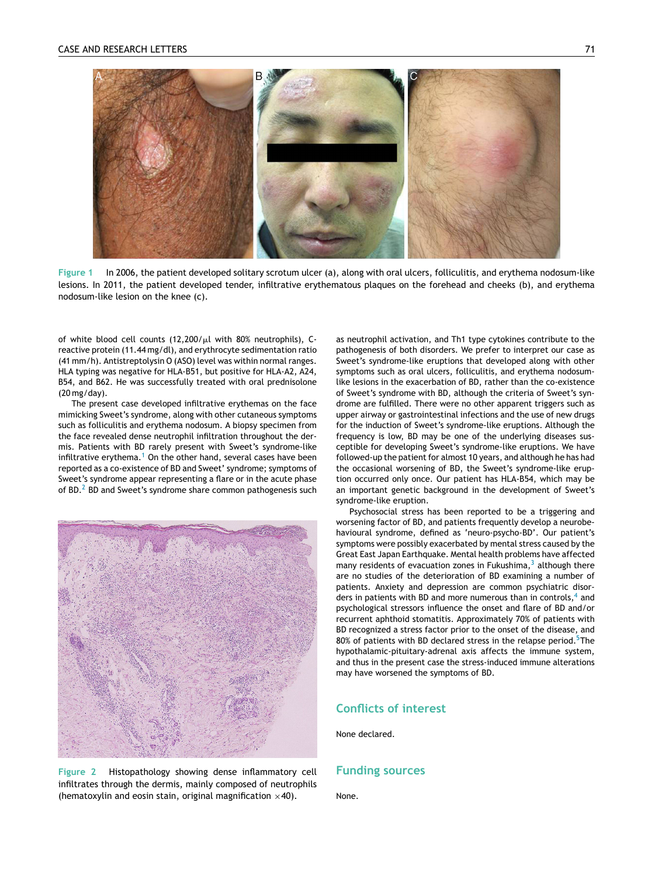<span id="page-1-0"></span>



of white blood cell counts (12,200/ $\mu$ l with 80% neutrophils), Creactive protein (11.44 mg/dl), and erythrocyte sedimentation ratio (41 mm/h). Antistreptolysin O (ASO) level was within normal ranges. HLA typing was negative for HLA-B51, but positive for HLA-A2, A24, B54, and B62. He was successfully treated with oral prednisolone (20 mg/day).

The present case developed infiltrative erythemas on the face mimicking Sweet's syndrome, along with other cutaneous symptoms such as folliculitis and erythema nodosum. A biopsy specimen from the face revealed dense neutrophil infiltration throughout the dermis. Patients with BD rarely present with Sweet's syndrome-like infiltrative erythema.<sup>[1](#page-2-0)</sup> On the other hand, several cases have been reported as a co-existence of BD and Sweet' syndrome; symptoms of Sweet's syndrome appear representing a flare or in the acute phase of BD.<sup>[2](#page-2-0)</sup> BD and Sweet's syndrome share common pathogenesis such



**Figure 2** Histopathology showing dense inflammatory cell infiltrates through the dermis, mainly composed of neutrophils (hematoxylin and eosin stain, original magnification  $\times$ 40).

as neutrophil activation, and Th1 type cytokines contribute to the pathogenesis of both disorders. We prefer to interpret our case as Sweet's syndrome-like eruptions that developed along with other symptoms such as oral ulcers, folliculitis, and erythema nodosumlike lesions in the exacerbation of BD, rather than the co-existence of Sweet's syndrome with BD, although the criteria of Sweet's syndrome are fulfilled. There were no other apparent triggers such as upper airway or gastrointestinal infections and the use of new drugs for the induction of Sweet's syndrome-like eruptions. Although the frequency is low, BD may be one of the underlying diseases susceptible for developing Sweet's syndrome-like eruptions. We have followed-up the patient for almost 10 years, and although he has had the occasional worsening of BD, the Sweet's syndrome-like eruption occurred only once. Our patient has HLA-B54, which may be an important genetic background in the development of Sweet's syndrome-like eruption.

Psychosocial stress has been reported to be a triggering and worsening factor of BD, and patients frequently develop a neurobehavioural syndrome, defined as 'neuro-psycho-BD'. Our patient's symptoms were possibly exacerbated by mental stress caused by the Great East Japan Earthquake. Mental health problems have affected m[a](#page-2-0)ny residents of evacuation zones in Fukushima, $3$  although there are no studies of the deterioration of BD examining a number of patients. Anxiety and depression are common psychiatric disorders in p[a](#page-2-0)tients with BD and more numerous than in controls, $4$  and psychological stressors influence the onset and flare of BD and/or recurrent aphthoid stomatitis. Approximately 70% of patients with BD recognized a stress factor prior to the onset of the disease, and 80% of patients with BD declared stress in the relapse period.<sup>5</sup>[Th](#page-2-0)e hypothalamic-pituitary-adrenal axis affects the immune system, and thus in the present case the stress-induced immune alterations may have worsened the symptoms of BD.

### **Conflicts of interest**

None declared.

#### **Funding sources**

None.